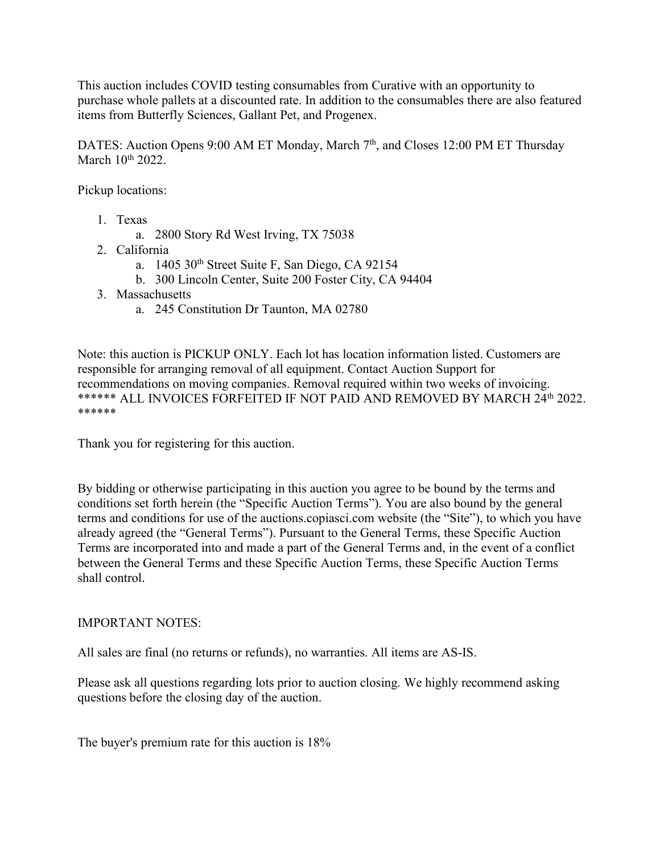This auction includes COVID testing consumables from Curative with an opportunity to purchase whole pallets at a discounted rate. In addition to the consumables there are also featured items from Butterfly Sciences, Gallant Pet, and Progenex.

DATES: Auction Opens 9:00 AM ET Monday, March 7<sup>th</sup>, and Closes 12:00 PM ET Thursday March 10<sup>th</sup> 2022.

Pickup locations:

- 1. Texas
	- a. 2800 Story Rd West Irving, TX 75038
- 2. California
	- a. 1405 30<sup>th</sup> Street Suite F, San Diego, CA 92154
	- b. 300 Lincoln Center, Suite 200 Foster City, CA 94404
- 3. Massachusetts
	- a. 245 Constitution Dr Taunton, MA 02780

Note: this auction is PICKUP ONLY. Each lot has location information listed. Customers are responsible for arranging removal of all equipment. Contact Auction Support for recommendations on moving companies. Removal required within two weeks of invoicing. \*\*\*\*\*\* ALL INVOICES FORFEITED IF NOT PAID AND REMOVED BY MARCH 24<sup>th</sup> 2022. \*\*\*\*\*\*

Thank you for registering for this auction.

By bidding or otherwise participating in this auction you agree to be bound by the terms and conditions set forth herein (the "Specific Auction Terms"). You are also bound by the general terms and conditions for use of the auctions.copiasci.com website (the "Site"), to which you have already agreed (the "General Terms"). Pursuant to the General Terms, these Specific Auction Terms are incorporated into and made a part of the General Terms and, in the event of a conflict between the General Terms and these Specific Auction Terms, these Specific Auction Terms shall control.

## IMPORTANT NOTES:

All sales are final (no returns or refunds), no warranties. All items are AS-IS.

Please ask all questions regarding lots prior to auction closing. We highly recommend asking questions before the closing day of the auction.

The buyer's premium rate for this auction is 18%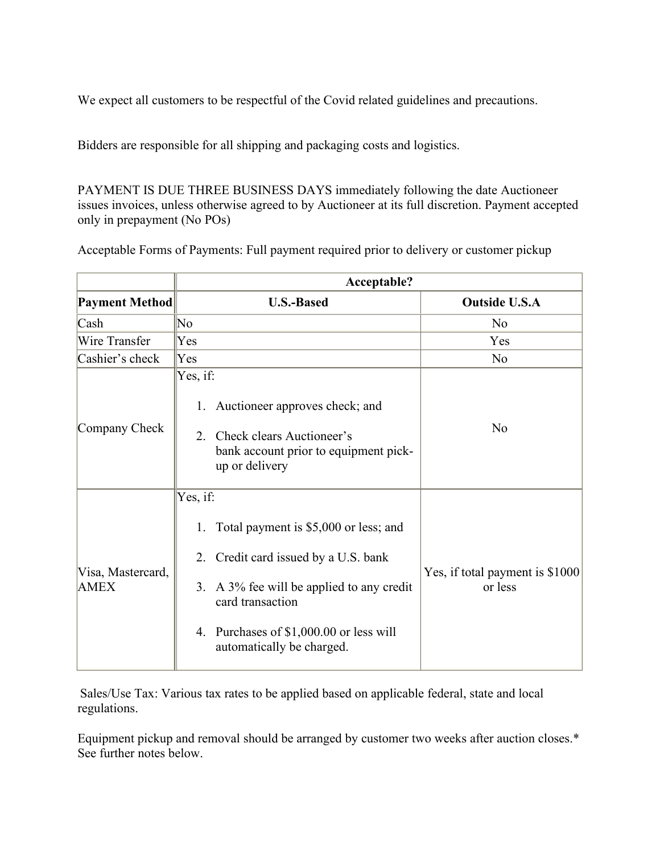We expect all customers to be respectful of the Covid related guidelines and precautions.

Bidders are responsible for all shipping and packaging costs and logistics.

PAYMENT IS DUE THREE BUSINESS DAYS immediately following the date Auctioneer issues invoices, unless otherwise agreed to by Auctioneer at its full discretion. Payment accepted only in prepayment (No POs)

Acceptable Forms of Payments: Full payment required prior to delivery or customer pickup

|                                  | Acceptable?                                                                                                                                                                                                                                 |                                            |
|----------------------------------|---------------------------------------------------------------------------------------------------------------------------------------------------------------------------------------------------------------------------------------------|--------------------------------------------|
| <b>Payment Method</b>            | <b>U.S.-Based</b>                                                                                                                                                                                                                           | <b>Outside U.S.A</b>                       |
| $\cosh$                          | $\overline{\text{No}}$                                                                                                                                                                                                                      | No                                         |
| Wire Transfer                    | Yes                                                                                                                                                                                                                                         | Yes                                        |
| Cashier's check                  | $ {\rm Yes} $                                                                                                                                                                                                                               | No                                         |
| Company Check                    | Yes, if:<br>1. Auctioneer approves check; and<br>2. Check clears Auctioneer's<br>bank account prior to equipment pick-<br>up or delivery                                                                                                    | No                                         |
| Visa, Mastercard,<br><b>AMEX</b> | Yes, if:<br>Total payment is \$5,000 or less; and<br>1.<br>Credit card issued by a U.S. bank<br>2.<br>3. A 3% fee will be applied to any credit<br>card transaction<br>4. Purchases of \$1,000.00 or less will<br>automatically be charged. | Yes, if total payment is \$1000<br>or less |

Sales/Use Tax: Various tax rates to be applied based on applicable federal, state and local regulations.

Equipment pickup and removal should be arranged by customer two weeks after auction closes.\* See further notes below.